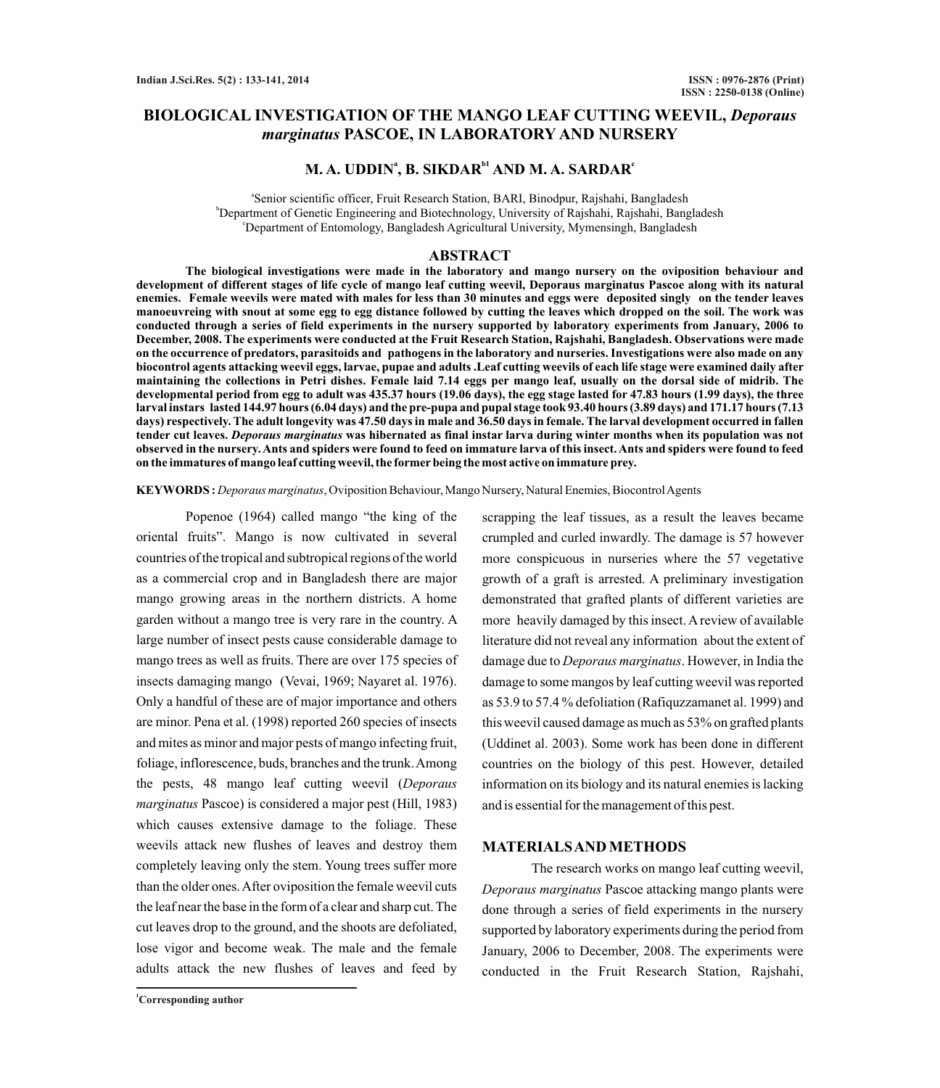# **BIOLOGICAL INVESTIGATION OF THE MANGO LEAF CUTTING WEEVIL,** *Deporaus marginatus* **PASCOE, IN LABORATORY AND NURSERY**

# $\mathbf{M}$ . A. UDDIN<sup>a</sup>, B. SIKDAR<sup>b1</sup> AND M. A. SARDAR<sup>c</sup>

a Senior scientific officer, Fruit Research Station, BARI, Binodpur, Rajshahi, Bangladesh <sup>b</sup>Department of Genetic Engineering and Biotechnology, University of Rajshahi, Rajshahi, Bangladesh <sup>c</sup>Department of Entomology, Bangladesh Agricultural University, Mymensingh, Bangladesh

### **ABSTRACT**

**The biological investigations were made in the laboratory and mango nursery on the oviposition behaviour and development of different stages of life cycle of mango leaf cutting weevil, Deporaus marginatus Pascoe along with its natural enemies. Female weevils were mated with males for less than 30 minutes and eggs were deposited singly on the tender leaves manoeuvreing with snout at some egg to egg distance followed by cutting the leaves which dropped on the soil. The work was conducted through a series of field experiments in the nursery supported by laboratory experiments from January, 2006 to December, 2008. The experiments were conducted at the Fruit Research Station, Rajshahi, Bangladesh. Observations were made on the occurrence of predators, parasitoids and pathogens in the laboratory and nurseries. Investigations were also made on any biocontrol agents attacking weevil eggs, larvae, pupae and adults .Leaf cutting weevils of each life stage were examined daily after maintaining the collections in Petri dishes. Female laid 7.14 eggs per mango leaf, usually on the dorsal side of midrib. The developmental period from egg to adult was 435.37 hours (19.06 days), the egg stage lasted for 47.83 hours (1.99 days), the three larval instars lasted 144.97 hours (6.04 days) and the pre-pupa and pupal stage took 93.40 hours (3.89 days) and 171.17 hours (7.13 days) respectively. The adult longevity was 47.50 days in male and 36.50 days in female. The larval development occurred in fallen tender cut leaves.** *Deporaus marginatus* **was hibernated as final instar larva during winter months when its population was not observed in the nursery. Ants and spiders were found to feed on immature larva of this insect. Ants and spiders were found to feed on the immatures of mango leaf cutting weevil, the formerbeing the most active on immature prey.**

**KEYWORDS :** *Deporaus marginatus*, Oviposition Behaviour, Mango Nursery, Natural Enemies, Biocontrol Agents

Popenoe (1964) called mango "the king of the oriental fruits". Mango is now cultivated in several countries of the tropical and subtropical regions of the world as a commercial crop and in Bangladesh there are major mango growing areas in the northern districts. A home garden without a mango tree is very rare in the country. A large number of insect pests cause considerable damage to mango trees as well as fruits. There are over 175 species of insects damaging mango (Vevai, 1969; Nayaret al. 1976). Only a handful of these are of major importance and others are minor. Pena et al. (1998) reported 260 species of insects and mites as minor and major pests of mango infecting fruit, foliage, inflorescence, buds, branches and the trunk. Among the pests, 48 mango leaf cutting weevil (*Deporaus marginatus* Pascoe) is considered a major pest (Hill, 1983) which causes extensive damage to the foliage. These weevils attack new flushes of leaves and destroy them completely leaving only the stem. Young trees suffer more than the older ones. After oviposition the female weevil cuts the leaf near the base in the form of a clear and sharp cut. The cut leaves drop to the ground, and the shoots are defoliated, lose vigor and become weak. The male and the female adults attack the new flushes of leaves and feed by

scrapping the leaf tissues, as a result the leaves became crumpled and curled inwardly. The damage is 57 however more conspicuous in nurseries where the 57 vegetative growth of a graft is arrested. A preliminary investigation demonstrated that grafted plants of different varieties are more heavily damaged by this insect. Areview of available literature did not reveal any information about the extent of damage due to *Deporaus marginatus*. However, in India the damage to some mangos by leaf cutting weevil was reported as 53.9 to 57.4 % defoliation (Rafiquzzamanet al. 1999) and this weevil caused damage as much as 53% on grafted plants (Uddinet al. 2003). Some work has been done in different countries on the biology of this pest. However, detailed information on its biology and its natural enemies is lacking and is essential for the management of this pest.

## **MATERIALS AND METHODS**

The research works on mango leaf cutting weevil, *Deporaus marginatus* Pascoe attacking mango plants were done through a series of field experiments in the nursery supported by laboratory experiments during the period from January, 2006 to December, 2008. The experiments were conducted in the Fruit Research Station, Rajshahi,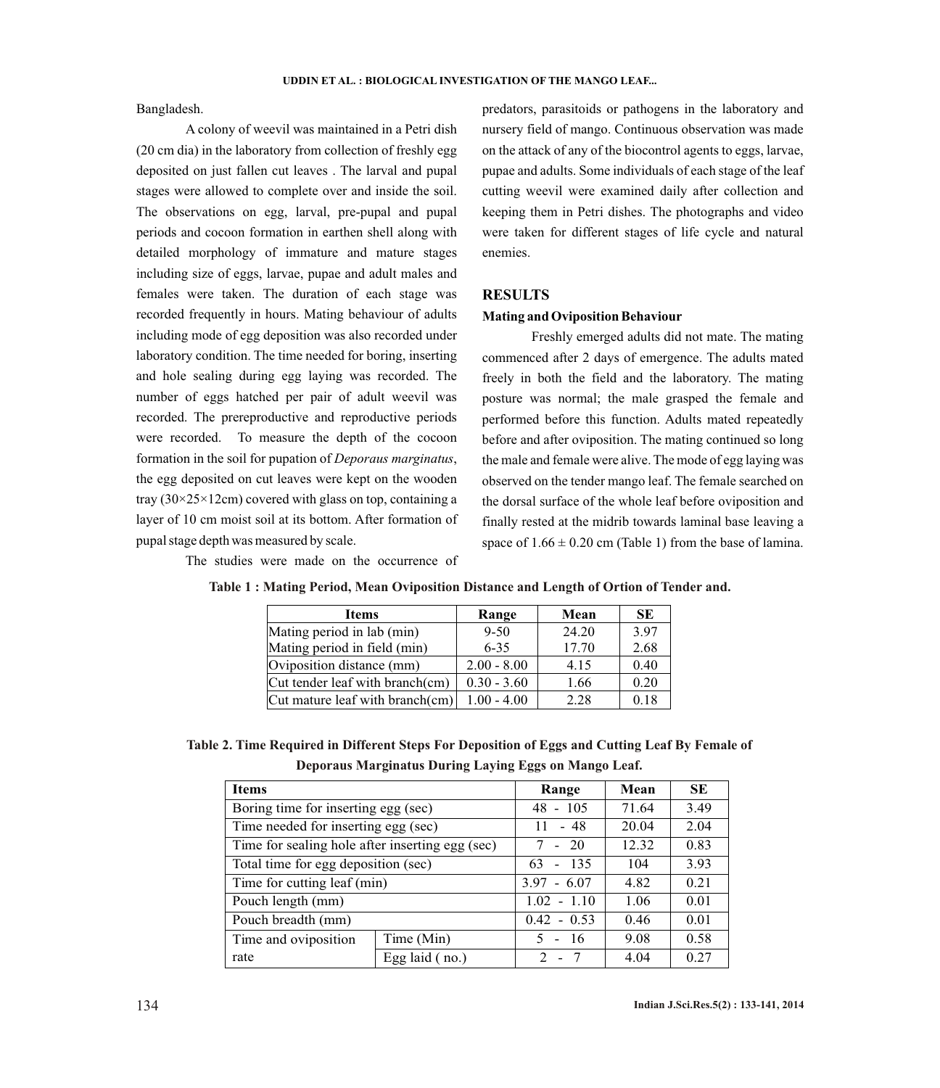Bangladesh.

A colony of weevil was maintained in a Petri dish (20 cm dia) in the laboratory from collection of freshly egg deposited on just fallen cut leaves . The larval and pupal stages were allowed to complete over and inside the soil. The observations on egg, larval, pre-pupal and pupal periods and cocoon formation in earthen shell along with detailed morphology of immature and mature stages including size of eggs, larvae, pupae and adult males and females were taken. The duration of each stage was recorded frequently in hours. Mating behaviour of adults including mode of egg deposition was also recorded under laboratory condition. The time needed for boring, inserting and hole sealing during egg laying was recorded. The number of eggs hatched per pair of adult weevil was recorded. The prereproductive and reproductive periods were recorded. To measure the depth of the cocoon formation in the soil for pupation of *Deporaus marginatus*, the egg deposited on cut leaves were kept on the wooden tray  $(30\times25\times12$ cm) covered with glass on top, containing a layer of 10 cm moist soil at its bottom. After formation of pupal stage depth was measured by scale.

predators, parasitoids or pathogens in the laboratory and nursery field of mango. Continuous observation was made on the attack of any of the biocontrol agents to eggs, larvae, pupae and adults. Some individuals of each stage of the leaf cutting weevil were examined daily after collection and keeping them in Petri dishes. The photographs and video were taken for different stages of life cycle and natural enemies.

## **RESULTS**

## **Mating and Oviposition Behaviour**

Freshly emerged adults did not mate. The mating commenced after 2 days of emergence. The adults mated freely in both the field and the laboratory. The mating posture was normal; the male grasped the female and performed before this function. Adults mated repeatedly before and after oviposition. The mating continued so long the male and female were alive. The mode of egg laying was observed on the tender mango leaf. The female searched on the dorsal surface of the whole leaf before oviposition and finally rested at the midrib towards laminal base leaving a space of  $1.66 \pm 0.20$  cm (Table 1) from the base of lamina.

The studies were made on the occurrence of

| <b>Items</b>                    | Range         | Mean  | SE   |
|---------------------------------|---------------|-------|------|
| Mating period in lab (min)      | $9 - 50$      | 24.20 | 3.97 |
| Mating period in field (min)    | $6 - 35$      | 17.70 | 2.68 |
| Oviposition distance (mm)       | $2.00 - 8.00$ | 4.15  | 0.40 |
| Cut tender leaf with branch(cm) | $0.30 - 3.60$ | 1.66  | 0.20 |
| Cut mature leaf with branch(cm) | $1.00 - 4.00$ | 2.28  | 0.18 |

|  |  | Table 1 : Mating Period, Mean Oviposition Distance and Length of Ortion of Tender and. |  |
|--|--|----------------------------------------------------------------------------------------|--|
|--|--|----------------------------------------------------------------------------------------|--|

**Table 2. Time Required in Different Steps For Deposition of Eggs and Cutting Leaf By Female of Deporaus Marginatus During Laying Eggs on Mango Leaf.**

| <b>Items</b>                                    |                | Range                   | Mean  | <b>SE</b> |
|-------------------------------------------------|----------------|-------------------------|-------|-----------|
| Boring time for inserting egg (sec)             |                | $48 - 105$              | 71.64 | 3.49      |
| Time needed for inserting egg (sec)             |                | $-48$<br>11             | 20.04 | 2.04      |
| Time for sealing hole after inserting egg (sec) |                | $-20$                   | 12.32 | 0.83      |
| Total time for egg deposition (sec)             |                | $-135$<br>63            | 104   | 3.93      |
| Time for cutting leaf (min)                     |                | $3.97 - 6.07$           | 4.82  | 0.21      |
| Pouch length (mm)                               |                | $1.02 - 1.10$           | 1.06  | 0.01      |
| Pouch breadth (mm)                              |                | $0.42 - 0.53$           | 0.46  | 0.01      |
| Time and oviposition                            | Time (Min)     | $-16$<br>5 <sup>1</sup> | 9.08  | 0.58      |
| rate                                            | Egg laid (no.) | $2^{\circ}$<br>$\sim$   | 4.04  | 0.27      |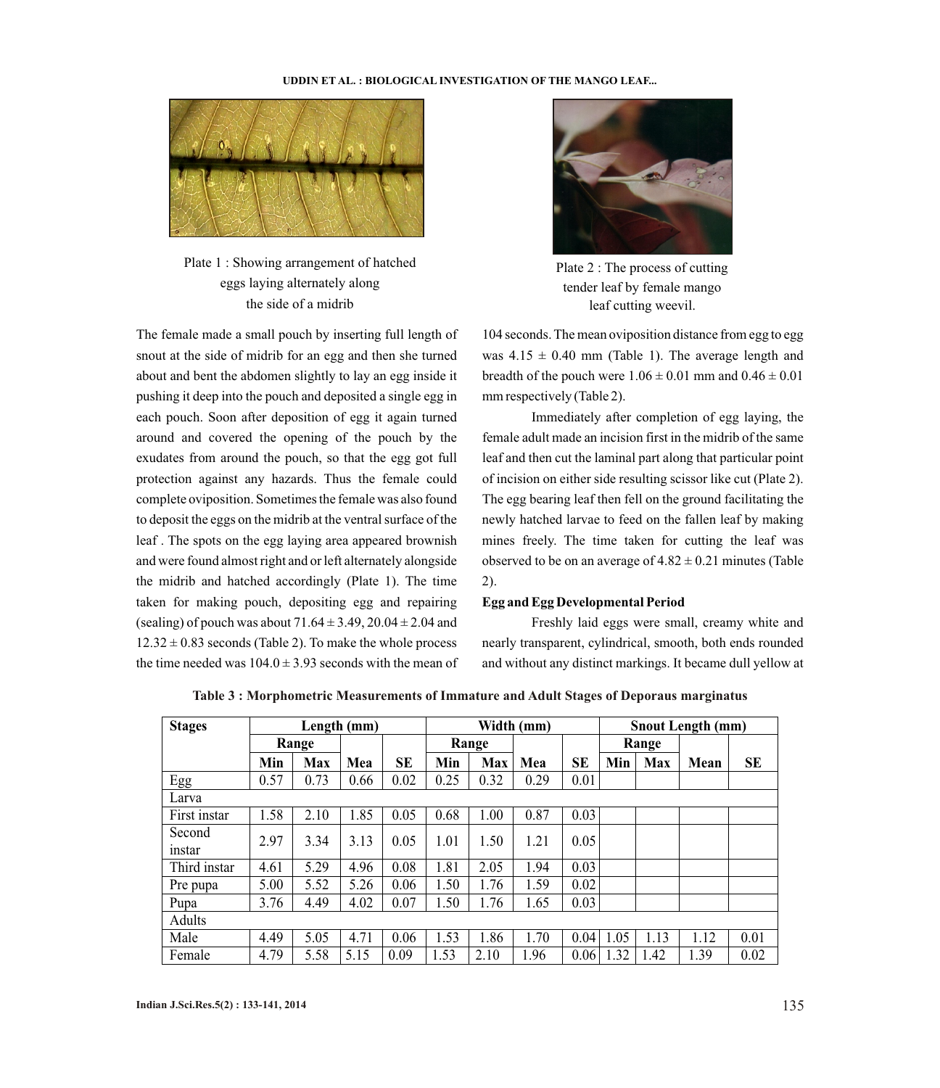

Plate 1 : Showing arrangement of hatched eggs laying alternately along the side of a midrib

The female made a small pouch by inserting full length of snout at the side of midrib for an egg and then she turned about and bent the abdomen slightly to lay an egg inside it pushing it deep into the pouch and deposited a single egg in each pouch. Soon after deposition of egg it again turned around and covered the opening of the pouch by the exudates from around the pouch, so that the egg got full protection against any hazards. Thus the female could complete oviposition. Sometimes the female was also found to deposit the eggs on the midrib at the ventral surface of the leaf . The spots on the egg laying area appeared brownish and were found almost right and or left alternately alongside the midrib and hatched accordingly (Plate 1). The time taken for making pouch, depositing egg and repairing (sealing) of pouch was about  $71.64 \pm 3.49$ ,  $20.04 \pm 2.04$  and  $12.32 \pm 0.83$  seconds (Table 2). To make the whole process the time needed was  $104.0 \pm 3.93$  seconds with the mean of



Plate 2 : The process of cutting tender leaf by female mango leaf cutting weevil.

104 seconds. The mean oviposition distance from egg to egg was  $4.15 \pm 0.40$  mm (Table 1). The average length and breadth of the pouch were  $1.06 \pm 0.01$  mm and  $0.46 \pm 0.01$ mm respectively (Table 2).

Immediately after completion of egg laying, the female adult made an incision first in the midrib of the same leaf and then cut the laminal part along that particular point of incision on either side resulting scissor like cut (Plate 2). The egg bearing leaf then fell on the ground facilitating the newly hatched larvae to feed on the fallen leaf by making mines freely. The time taken for cutting the leaf was observed to be on an average of  $4.82 \pm 0.21$  minutes (Table 2).

### **Egg and Egg Developmental Period**

Freshly laid eggs were small, creamy white and nearly transparent, cylindrical, smooth, both ends rounded and without any distinct markings. It became dull yellow at

| <b>Stages</b>    | Length (mm) |       |      | Width (mm) |      |            | <b>Snout Length (mm)</b> |      |      |            |      |      |
|------------------|-------------|-------|------|------------|------|------------|--------------------------|------|------|------------|------|------|
|                  |             | Range |      |            |      | Range      |                          |      |      | Range      |      |      |
|                  | Min         | Max   | Mea  | SE         | Min  | <b>Max</b> | Mea                      | SЕ   | Min  | <b>Max</b> | Mean | SE   |
| Egg              | 0.57        | 0.73  | 0.66 | 0.02       | 0.25 | 0.32       | 0.29                     | 0.01 |      |            |      |      |
| Larva            |             |       |      |            |      |            |                          |      |      |            |      |      |
| First instar     | 1.58        | 2.10  | 1.85 | 0.05       | 0.68 | 1.00       | 0.87                     | 0.03 |      |            |      |      |
| Second<br>instar | 2.97        | 3.34  | 3.13 | 0.05       | 1.01 | 1.50       | 1.21                     | 0.05 |      |            |      |      |
| Third instar     | 4.61        | 5.29  | 4.96 | 0.08       | 1.81 | 2.05       | 1.94                     | 0.03 |      |            |      |      |
| Pre pupa         | 5.00        | 5.52  | 5.26 | 0.06       | 1.50 | 1.76       | 1.59                     | 0.02 |      |            |      |      |
| Pupa             | 3.76        | 4.49  | 4.02 | 0.07       | 1.50 | 1.76       | 1.65                     | 0.03 |      |            |      |      |
| Adults           |             |       |      |            |      |            |                          |      |      |            |      |      |
| Male             | 4.49        | 5.05  | 4.71 | 0.06       | 1.53 | 1.86       | 1.70                     | 0.04 | 1.05 | 1.13       | 1.12 | 0.01 |
| Female           | 4.79        | 5.58  | 5.15 | 0.09       | 1.53 | 2.10       | 1.96                     | 0.06 | 1.32 | 1.42       | 1.39 | 0.02 |

**Table 3 : Morphometric Measurements of Immature and Adult Stages of Deporaus marginatus**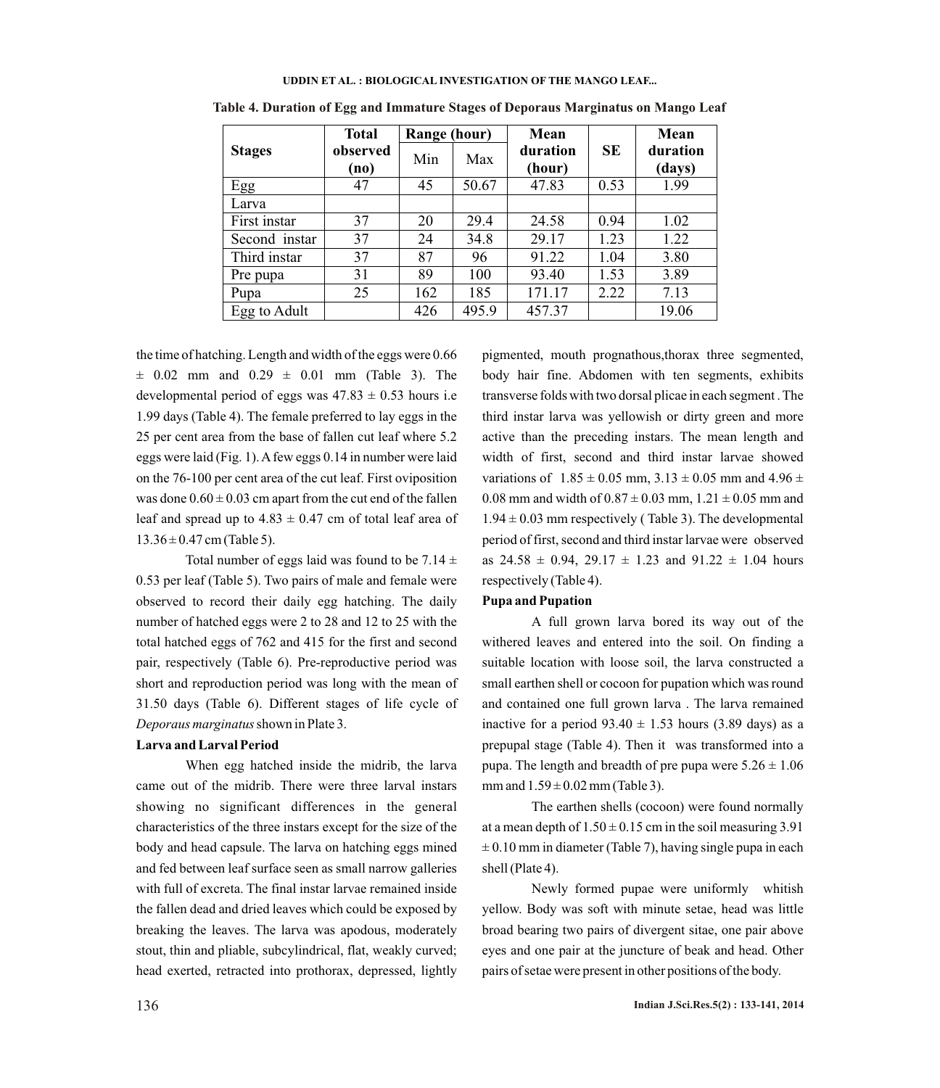|               | <b>Total</b>     | Range (hour) |       | Mean               |      | Mean               |
|---------------|------------------|--------------|-------|--------------------|------|--------------------|
| <b>Stages</b> | observed<br>(no) | Min          | Max   | duration<br>(hour) | SE   | duration<br>(days) |
| Egg           | 47               | 45           | 50.67 | 47.83              | 0.53 | 1.99               |
| Larva         |                  |              |       |                    |      |                    |
| First instar  | 37               | 20           | 29.4  | 24.58              | 0.94 | 1.02               |
| Second instar | 37               | 24           | 34.8  | 29.17              | 1.23 | 1.22               |
| Third instar  | 37               | 87           | 96    | 91.22              | 1.04 | 3.80               |
| Pre pupa      | 31               | 89           | 100   | 93.40              | 1.53 | 3.89               |
| Pupa          | 25               | 162          | 185   | 171.17             | 2.22 | 7.13               |
| Egg to Adult  |                  | 426          | 495.9 | 457.37             |      | 19.06              |

**Table 4. Duration of Egg and Immature Stages of Deporaus Marginatus on Mango Leaf**

the time of hatching. Length and width of the eggs were 0.66  $\pm$  0.02 mm and 0.29  $\pm$  0.01 mm (Table 3). The developmental period of eggs was  $47.83 \pm 0.53$  hours i.e 1.99 days (Table 4). The female preferred to lay eggs in the 25 per cent area from the base of fallen cut leaf where 5.2 eggs were laid (Fig. 1). Afew eggs 0.14 in number were laid on the 76-100 per cent area of the cut leaf. First oviposition was done  $0.60 \pm 0.03$  cm apart from the cut end of the fallen leaf and spread up to  $4.83 \pm 0.47$  cm of total leaf area of  $13.36 \pm 0.47$  cm (Table 5).

Total number of eggs laid was found to be  $7.14 \pm 1.1$ 0.53 per leaf (Table 5). Two pairs of male and female were observed to record their daily egg hatching. The daily number of hatched eggs were 2 to 28 and 12 to 25 with the total hatched eggs of 762 and 415 for the first and second pair, respectively (Table 6). Pre-reproductive period was short and reproduction period was long with the mean of 31.50 days (Table 6). Different stages of life cycle of *Deporaus marginatus*shown in Plate 3.

#### **Larva and Larval Period**

When egg hatched inside the midrib, the larva came out of the midrib. There were three larval instars showing no significant differences in the general characteristics of the three instars except for the size of the body and head capsule. The larva on hatching eggs mined and fed between leaf surface seen as small narrow galleries with full of excreta. The final instar larvae remained inside the fallen dead and dried leaves which could be exposed by breaking the leaves. The larva was apodous, moderately stout, thin and pliable, subcylindrical, flat, weakly curved; head exerted, retracted into prothorax, depressed, lightly

pigmented, mouth prognathous,thorax three segmented, body hair fine. Abdomen with ten segments, exhibits transverse folds with two dorsal plicae in each segment . The third instar larva was yellowish or dirty green and more active than the preceding instars. The mean length and width of first, second and third instar larvae showed variations of  $1.85 \pm 0.05$  mm,  $3.13 \pm 0.05$  mm and  $4.96 \pm 0.05$ 0.08 mm and width of  $0.87 \pm 0.03$  mm,  $1.21 \pm 0.05$  mm and  $1.94 \pm 0.03$  mm respectively (Table 3). The developmental period of first, second and third instar larvae were observed as  $24.58 \pm 0.94$ ,  $29.17 \pm 1.23$  and  $91.22 \pm 1.04$  hours respectively (Table 4).

### **Pupa and Pupation**

A full grown larva bored its way out of the withered leaves and entered into the soil. On finding a suitable location with loose soil, the larva constructed a small earthen shell or cocoon for pupation which was round and contained one full grown larva . The larva remained inactive for a period  $93.40 \pm 1.53$  hours (3.89 days) as a prepupal stage (Table 4). Then it was transformed into a pupa. The length and breadth of pre pupa were  $5.26 \pm 1.06$ mm and  $1.59 \pm 0.02$  mm (Table 3).

The earthen shells (cocoon) were found normally at a mean depth of  $1.50 \pm 0.15$  cm in the soil measuring 3.91  $\pm$  0.10 mm in diameter (Table 7), having single pupa in each shell (Plate 4).

Newly formed pupae were uniformly whitish yellow. Body was soft with minute setae, head was little broad bearing two pairs of divergent sitae, one pair above eyes and one pair at the juncture of beak and head. Other pairs of setae were present in other positions of the body.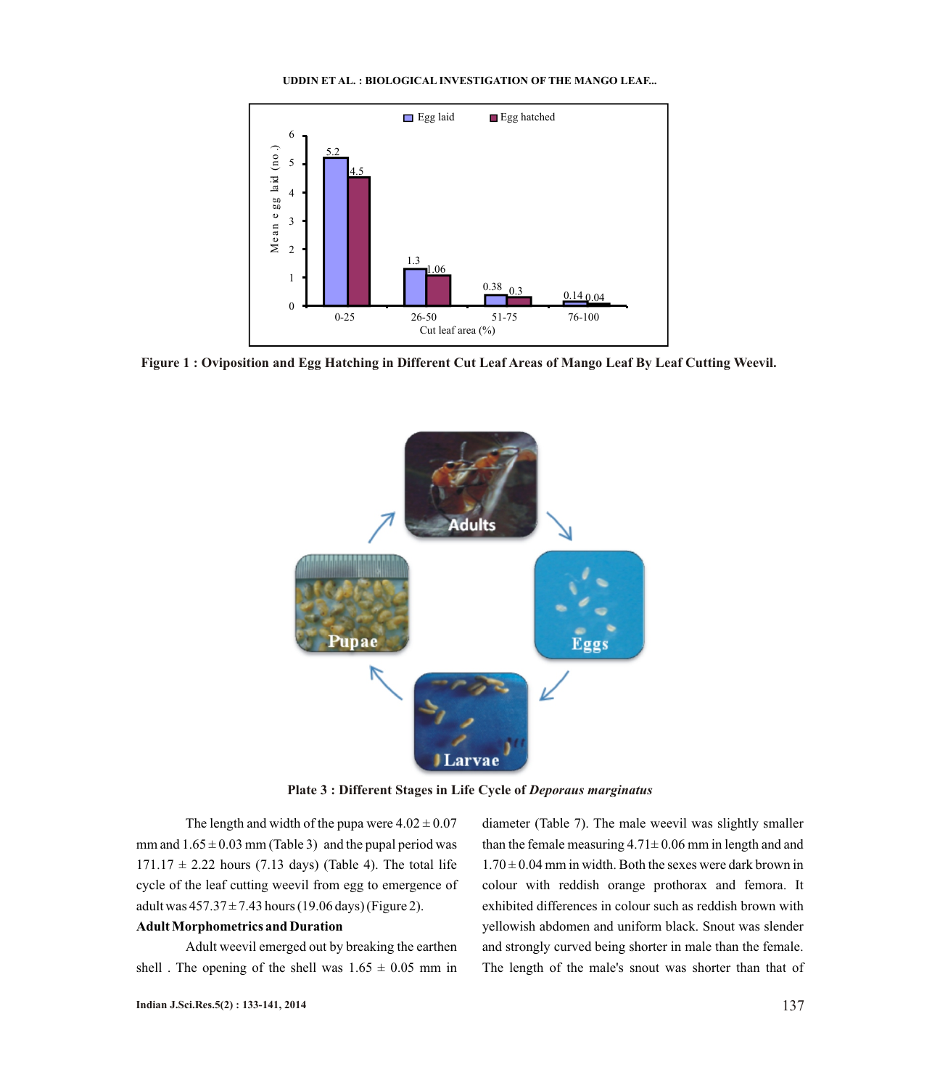

**Figure 1 : Oviposition and Egg Hatching in Different Cut Leaf Areas of Mango Leaf By Leaf Cutting Weevil.**



**Plate 3 : Different Stages in Life Cycle of** *Deporaus marginatus*

The length and width of the pupa were  $4.02 \pm 0.07$ mm and  $1.65 \pm 0.03$  mm (Table 3) and the pupal period was  $171.17 \pm 2.22$  hours (7.13 days) (Table 4). The total life cycle of the leaf cutting weevil from egg to emergence of adult was  $457.37 \pm 7.43$  hours (19.06 days) (Figure 2).

### **Adult Morphometrics and Duration**

Adult weevil emerged out by breaking the earthen shell. The opening of the shell was  $1.65 \pm 0.05$  mm in

diameter (Table 7). The male weevil was slightly smaller than the female measuring  $4.71 \pm 0.06$  mm in length and and  $1.70 \pm 0.04$  mm in width. Both the sexes were dark brown in colour with reddish orange prothorax and femora. It exhibited differences in colour such as reddish brown with yellowish abdomen and uniform black. Snout was slender and strongly curved being shorter in male than the female. The length of the male's snout was shorter than that of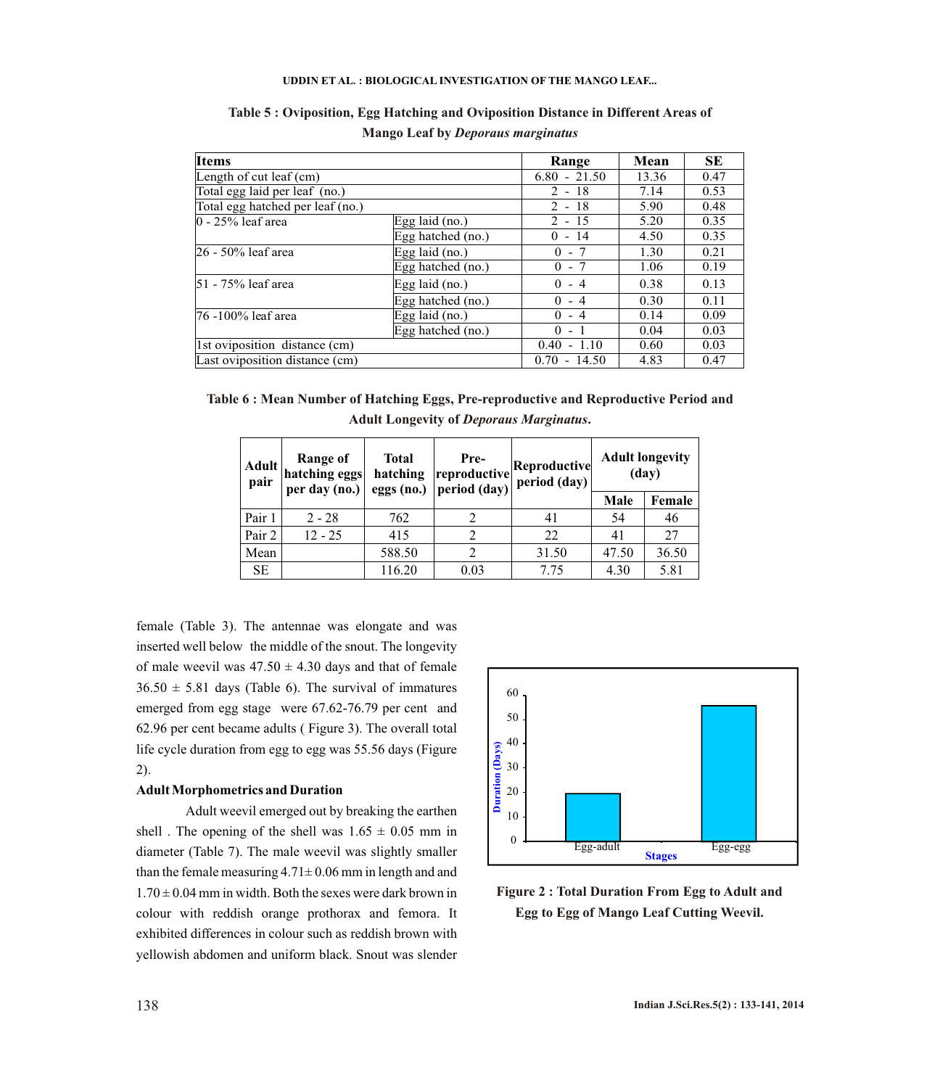| <b>Items</b>                     |                   | Range          | Mean  | <b>SE</b> |
|----------------------------------|-------------------|----------------|-------|-----------|
| Length of cut leaf $(cm)$        |                   | $6.80 - 21.50$ | 13.36 | 0.47      |
| Total egg laid per leaf (no.)    |                   | $2 - 18$       | 7.14  | 0.53      |
| Total egg hatched per leaf (no.) |                   | $2 - 18$       | 5.90  | 0.48      |
| $0 - 25%$ leaf area              | Egg laid (no.)    | $2 - 15$       | 5.20  | 0.35      |
|                                  | Egg hatched (no.) | $0 - 14$       | 4.50  | 0.35      |
| 26 - 50% leaf area               | Egg laid $(no.)$  | $0 - 7$        | 1.30  | 0.21      |
|                                  | Egg hatched (no.) | $0 - 7$        | 1.06  | 0.19      |
| 51 - 75% leaf area               | Egg laid $(no.)$  | $0 - 4$        | 0.38  | 0.13      |
|                                  | Egg hatched (no.) | $0 - 4$        | 0.30  | 0.11      |
| 76 -100% leaf area               | Egg laid $(no.)$  | $0 - 4$        | 0.14  | 0.09      |
|                                  | Egg hatched (no.) | $-1$<br>0      | 0.04  | 0.03      |
| 1st oviposition distance (cm)    |                   | $0.40 - 1.10$  | 0.60  | 0.03      |
| Last oviposition distance (cm)   |                   | $0.70 - 14.50$ | 4.83  | 0.47      |

# **Table 5 : Oviposition, Egg Hatching and Oviposition Distance in Different Areas of Mango Leaf by** *Deporaus marginatus*

| Table 6 : Mean Number of Hatching Eggs, Pre-reproductive and Reproductive Period and |
|--------------------------------------------------------------------------------------|
| <b>Adult Longevity of Deporaus Marginatus.</b>                                       |

| <b>Adult</b><br>pair | Range of<br>hatching eggs<br>per day (no.) | <b>Total</b><br>hatching<br>eggs (no.) | Pre-<br>Reproductive<br>reproductive<br>period (day)<br>period (day) |       |       | <b>Adult longevity</b><br>(day) |  |
|----------------------|--------------------------------------------|----------------------------------------|----------------------------------------------------------------------|-------|-------|---------------------------------|--|
|                      |                                            |                                        |                                                                      |       | Male  | Female                          |  |
| Pair 1               | $2 - 28$                                   | 762                                    |                                                                      | 41    | 54    | 46                              |  |
| Pair 2               | $12 - 25$                                  | 415                                    |                                                                      | 22    | 41    | 27                              |  |
| Mean                 |                                            | 588.50                                 | ↑                                                                    | 31.50 | 47.50 | 36.50                           |  |
| <b>SE</b>            |                                            | 116.20                                 | 0.03                                                                 | 7.75  | 4.30  | 5.81                            |  |

female (Table 3). The antennae was elongate and was inserted well below the middle of the snout. The longevity of male weevil was  $47.50 \pm 4.30$  days and that of female  $36.50 \pm 5.81$  days (Table 6). The survival of immatures emerged from egg stage were 67.62-76.79 per cent and 62.96 per cent became adults ( Figure 3). The overall total life cycle duration from egg to egg was 55.56 days (Figure 2).

#### **Adult Morphometrics and Duration**

Adult weevil emerged out by breaking the earthen shell. The opening of the shell was  $1.65 \pm 0.05$  mm in diameter (Table 7). The male weevil was slightly smaller than the female measuring  $4.71 \pm 0.06$  mm in length and and  $1.70 \pm 0.04$  mm in width. Both the sexes were dark brown in colour with reddish orange prothorax and femora. It exhibited differences in colour such as reddish brown with yellowish abdomen and uniform black. Snout was slender



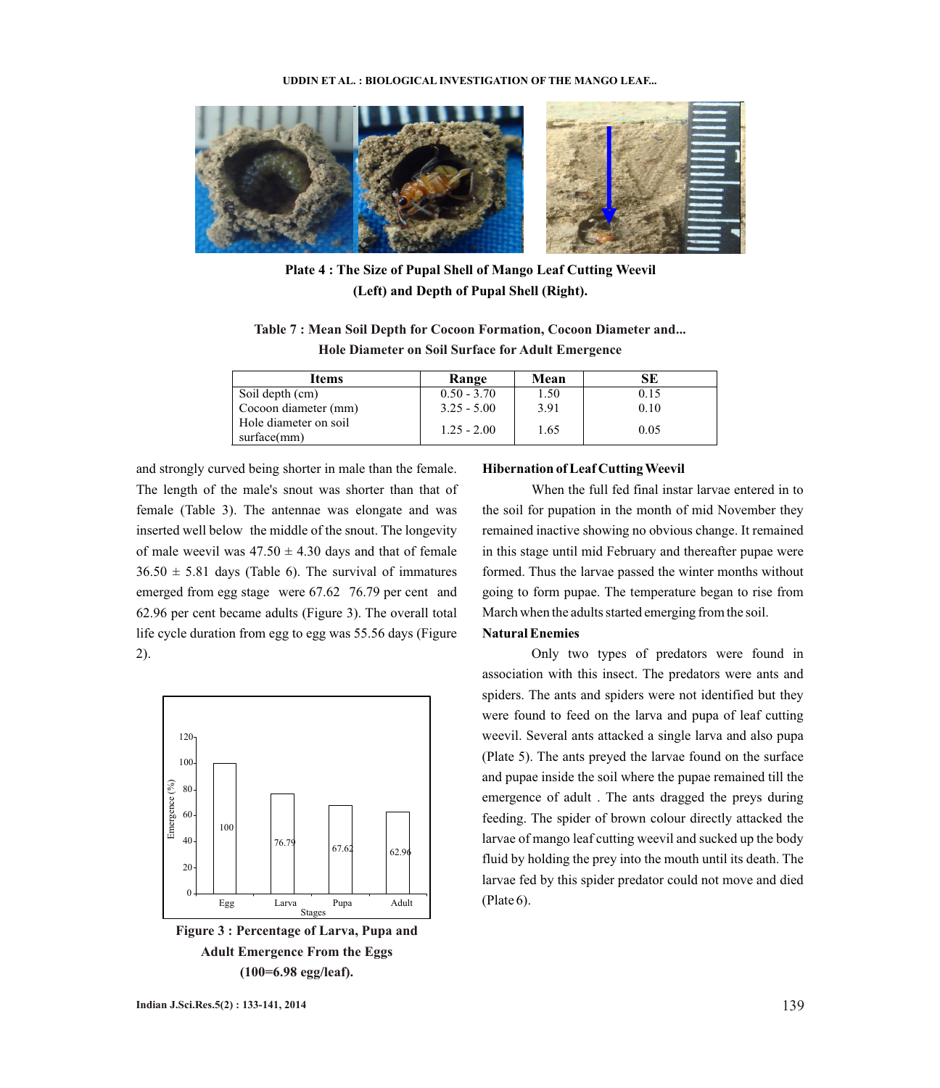

**Plate 4 : The Size of Pupal Shell of Mango Leaf Cutting Weevil (Left) and Depth of Pupal Shell (Right).**

**Table 7 : Mean Soil Depth for Cocoon Formation, Cocoon Diameter and... Hole Diameter on Soil Surface for Adult Emergence**

| Items                                | Range         | Mean | SE   |
|--------------------------------------|---------------|------|------|
| Soil depth (cm)                      | $0.50 - 3.70$ | 1.50 | 0.15 |
| Cocoon diameter (mm)                 | $3.25 - 5.00$ | 3.91 | 0.10 |
| Hole diameter on soil<br>surface(mm) | $1.25 - 2.00$ | 1.65 | 0.05 |

and strongly curved being shorter in male than the female. The length of the male's snout was shorter than that of female (Table 3). The antennae was elongate and was inserted well below the middle of the snout. The longevity of male weevil was  $47.50 \pm 4.30$  days and that of female  $36.50 \pm 5.81$  days (Table 6). The survival of immatures emerged from egg stage were 67.62 76.79 per cent and 62.96 per cent became adults (Figure 3). The overall total life cycle duration from egg to egg was 55.56 days (Figure 2).



**Figure 3 : Percentage of Larva, Pupa and Adult Emergence From the Eggs (100=6.98 egg/leaf).**

## **Hibernation of Leaf Cutting Weevil**

When the full fed final instar larvae entered in to the soil for pupation in the month of mid November they remained inactive showing no obvious change. It remained in this stage until mid February and thereafter pupae were formed. Thus the larvae passed the winter months without going to form pupae. The temperature began to rise from March when the adults started emerging from the soil.

# **Natural Enemies**

Only two types of predators were found in association with this insect. The predators were ants and spiders. The ants and spiders were not identified but they were found to feed on the larva and pupa of leaf cutting weevil. Several ants attacked a single larva and also pupa (Plate 5). The ants preyed the larvae found on the surface and pupae inside the soil where the pupae remained till the emergence of adult . The ants dragged the preys during feeding. The spider of brown colour directly attacked the larvae of mango leaf cutting weevil and sucked up the body fluid by holding the prey into the mouth until its death. The larvae fed by this spider predator could not move and died (Plate 6).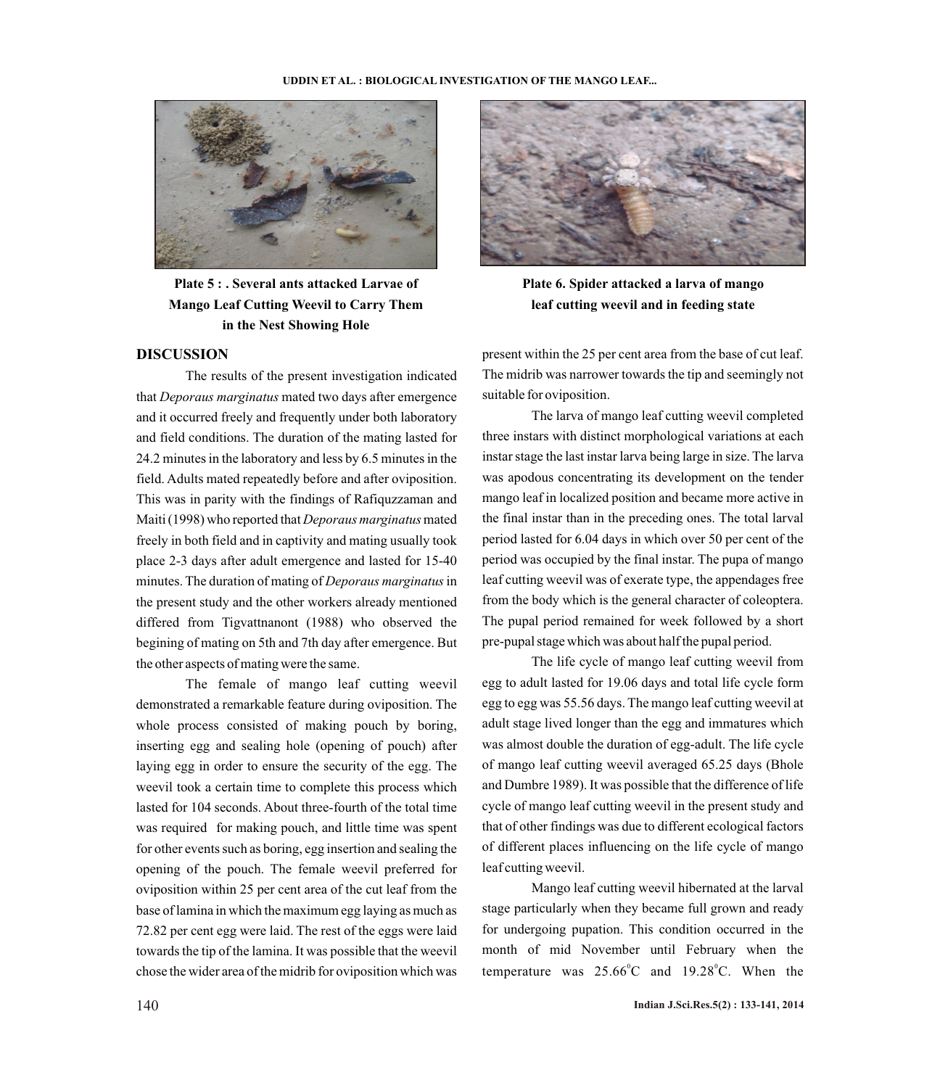

**Plate 5 : . Several ants attacked Larvae of Mango Leaf Cutting Weevil to Carry Them in the Nest Showing Hole**

## **DISCUSSION**

The results of the present investigation indicated that *Deporaus marginatus* mated two days after emergence and it occurred freely and frequently under both laboratory and field conditions. The duration of the mating lasted for 24.2 minutes in the laboratory and less by 6.5 minutes in the field. Adults mated repeatedly before and after oviposition. This was in parity with the findings of Rafiquzzaman and Maiti (1998) who reported that *Deporaus marginatus*mated freely in both field and in captivity and mating usually took place 2-3 days after adult emergence and lasted for 15-40 minutes. The duration of mating of *Deporaus marginatus*in the present study and the other workers already mentioned differed from Tigvattnanont (1988) who observed the begining of mating on 5th and 7th day after emergence. But the other aspects of mating were the same.

The female of mango leaf cutting weevil demonstrated a remarkable feature during oviposition. The whole process consisted of making pouch by boring, inserting egg and sealing hole (opening of pouch) after laying egg in order to ensure the security of the egg. The weevil took a certain time to complete this process which lasted for 104 seconds. About three-fourth of the total time was required for making pouch, and little time was spent for other events such as boring, egg insertion and sealing the opening of the pouch. The female weevil preferred for oviposition within 25 per cent area of the cut leaf from the base of lamina in which the maximum egg laying as much as 72.82 per cent egg were laid. The rest of the eggs were laid towards the tip of the lamina. It was possible that the weevil chose the wider area of the midrib for oviposition which was



**Plate 6. Spider attacked a larva of mango leaf cutting weevil and in feeding state** 

present within the 25 per cent area from the base of cut leaf. The midrib was narrower towards the tip and seemingly not suitable for oviposition.

The larva of mango leaf cutting weevil completed three instars with distinct morphological variations at each instar stage the last instar larva being large in size. The larva was apodous concentrating its development on the tender mango leaf in localized position and became more active in the final instar than in the preceding ones. The total larval period lasted for 6.04 days in which over 50 per cent of the period was occupied by the final instar. The pupa of mango leaf cutting weevil was of exerate type, the appendages free from the body which is the general character of coleoptera. The pupal period remained for week followed by a short pre-pupal stage which was about half the pupal period.

The life cycle of mango leaf cutting weevil from egg to adult lasted for 19.06 days and total life cycle form egg to egg was 55.56 days. The mango leaf cutting weevil at adult stage lived longer than the egg and immatures which was almost double the duration of egg-adult. The life cycle of mango leaf cutting weevil averaged 65.25 days (Bhole and Dumbre 1989). It was possible that the difference of life cycle of mango leaf cutting weevil in the present study and that of other findings was due to different ecological factors of different places influencing on the life cycle of mango leaf cutting weevil.

Mango leaf cutting weevil hibernated at the larval stage particularly when they became full grown and ready for undergoing pupation. This condition occurred in the month of mid November until February when the temperature was  $25.66^{\circ}$ C and  $19.28^{\circ}$ C. When the